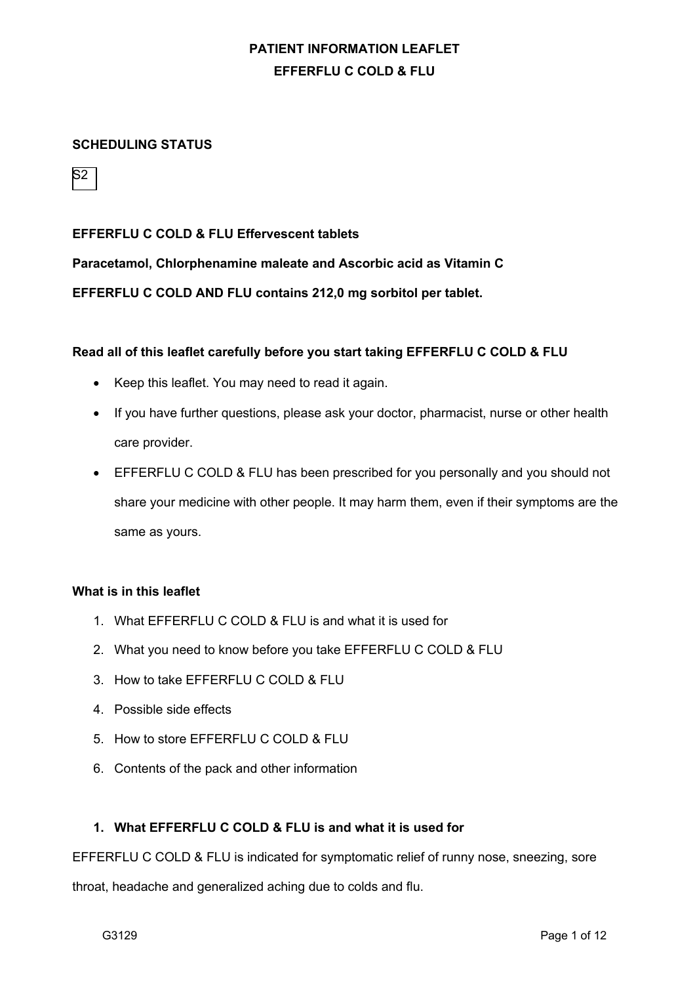## **SCHEDULING STATUS**



#### **EFFERFLU C COLD & FLU Effervescent tablets**

**Paracetamol, Chlorphenamine maleate and Ascorbic acid as Vitamin C**

**EFFERFLU C COLD AND FLU contains 212,0 mg sorbitol per tablet.**

#### **Read all of this leaflet carefully before you start taking EFFERFLU C COLD & FLU**

- Keep this leaflet. You may need to read it again.
- If you have further questions, please ask your doctor, pharmacist, nurse or other health care provider.
- EFFERFLU C COLD & FLU has been prescribed for you personally and you should not share your medicine with other people. It may harm them, even if their symptoms are the same as yours.

#### **What is in this leaflet**

- 1. What EFFERFLU C COLD & FLU is and what it is used for
- 2. What you need to know before you take EFFERFLU C COLD & FLU
- 3. How to take EFFERFLU C COLD & FLU
- 4. Possible side effects
- 5. How to store EFFERFLU C COLD & FLU
- 6. Contents of the pack and other information

## **1. What EFFERFLU C COLD & FLU is and what it is used for**

EFFERFLU C COLD & FLU is indicated for symptomatic relief of runny nose, sneezing, sore

throat, headache and generalized aching due to colds and flu.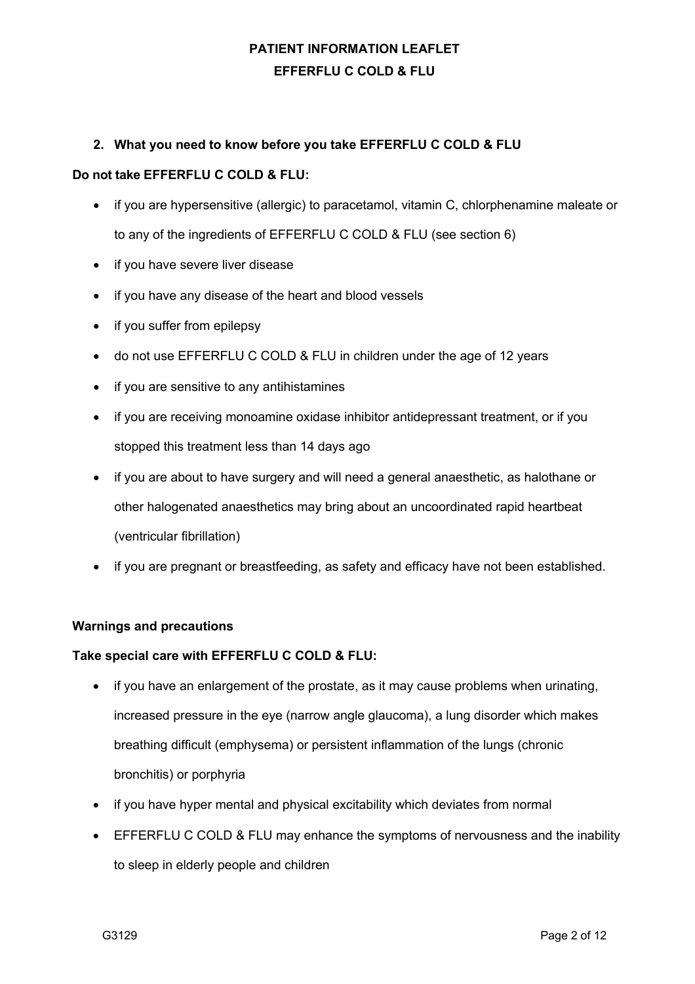## **2. What you need to know before you take EFFERFLU C COLD & FLU**

#### **Do not take EFFERFLU C COLD & FLU:**

- if you are hypersensitive (allergic) to paracetamol, vitamin C, chlorphenamine maleate or to any of the ingredients of EFFERFLU C COLD & FLU (see section 6)
- if you have severe liver disease
- if you have any disease of the heart and blood vessels
- if you suffer from epilepsy
- do not use EFFERFLU C COLD & FLU in children under the age of 12 years
- if you are sensitive to any antihistamines
- if you are receiving monoamine oxidase inhibitor antidepressant treatment, or if you stopped this treatment less than 14 days ago
- if you are about to have surgery and will need a general anaesthetic, as halothane or other halogenated anaesthetics may bring about an uncoordinated rapid heartbeat (ventricular fibrillation)
- if you are pregnant or breastfeeding, as safety and efficacy have not been established.

### **Warnings and precautions**

### **Take special care with EFFERFLU C COLD & FLU:**

- if you have an enlargement of the prostate, as it may cause problems when urinating, increased pressure in the eye (narrow angle glaucoma), a lung disorder which makes breathing difficult (emphysema) or persistent inflammation of the lungs (chronic bronchitis) or porphyria
- if you have hyper mental and physical excitability which deviates from normal
- EFFERFLU C COLD & FLU may enhance the symptoms of nervousness and the inability to sleep in elderly people and children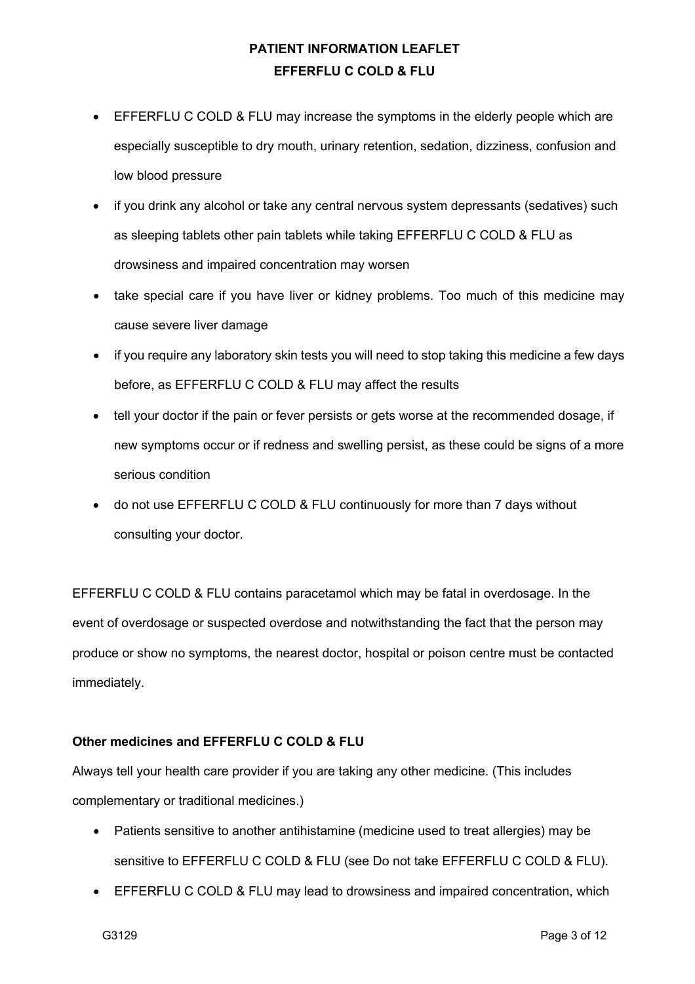- EFFERFLU C COLD & FLU may increase the symptoms in the elderly people which are especially susceptible to dry mouth, urinary retention, sedation, dizziness, confusion and low blood pressure
- if you drink any alcohol or take any central nervous system depressants (sedatives) such as sleeping tablets other pain tablets while taking EFFERFLU C COLD & FLU as drowsiness and impaired concentration may worsen
- take special care if you have liver or kidney problems. Too much of this medicine may cause severe liver damage
- if you require any laboratory skin tests you will need to stop taking this medicine a few days before, as EFFERFLU C COLD & FLU may affect the results
- tell your doctor if the pain or fever persists or gets worse at the recommended dosage, if new symptoms occur or if redness and swelling persist, as these could be signs of a more serious condition
- do not use EFFERFLU C COLD & FLU continuously for more than 7 days without consulting your doctor.

EFFERFLU C COLD & FLU contains paracetamol which may be fatal in overdosage. In the event of overdosage or suspected overdose and notwithstanding the fact that the person may produce or show no symptoms, the nearest doctor, hospital or poison centre must be contacted immediately.

## **Other medicines and EFFERFLU C COLD & FLU**

Always tell your health care provider if you are taking any other medicine. (This includes complementary or traditional medicines.)

- Patients sensitive to another antihistamine (medicine used to treat allergies) may be sensitive to EFFERFLU C COLD & FLU (see Do not take EFFERFLU C COLD & FLU).
- EFFERFLU C COLD & FLU may lead to drowsiness and impaired concentration, which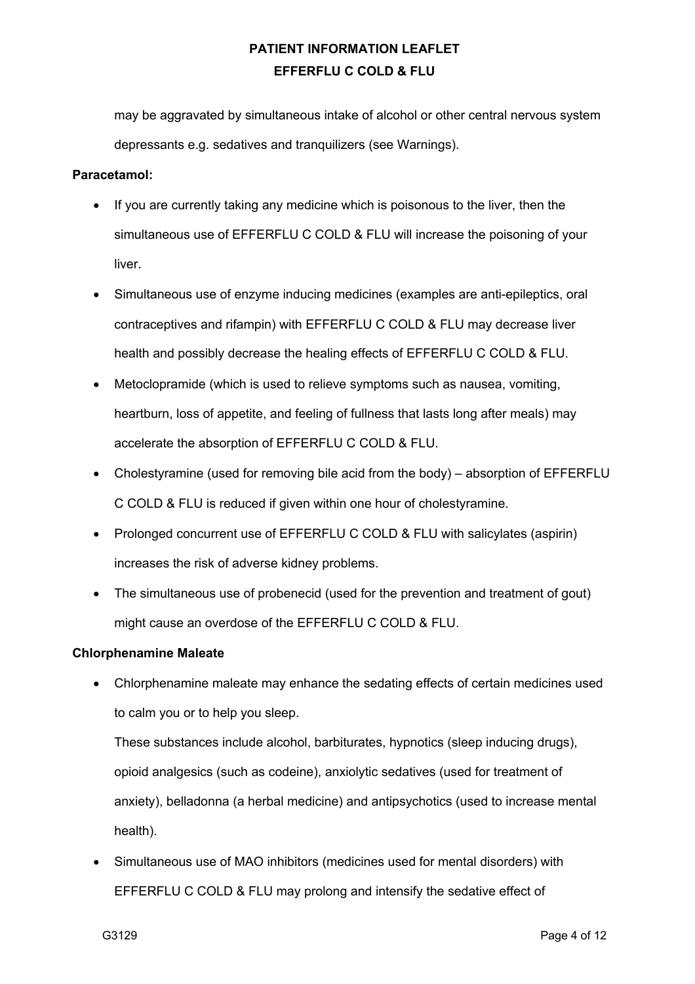may be aggravated by simultaneous intake of alcohol or other central nervous system depressants e.g. sedatives and tranquilizers (see Warnings).

#### **Paracetamol:**

- If you are currently taking any medicine which is poisonous to the liver, then the simultaneous use of EFFERFLU C COLD & FLU will increase the poisoning of your liver.
- Simultaneous use of enzyme inducing medicines (examples are anti-epileptics, oral contraceptives and rifampin) with EFFERFLU C COLD & FLU may decrease liver health and possibly decrease the healing effects of EFFERFLU C COLD & FLU.
- Metoclopramide (which is used to relieve symptoms such as nausea, vomiting, heartburn, loss of appetite, and feeling of fullness that lasts long after meals) may accelerate the absorption of EFFERFLU C COLD & FLU.
- Cholestyramine (used for removing bile acid from the body) absorption of EFFERFLU C COLD & FLU is reduced if given within one hour of cholestyramine.
- Prolonged concurrent use of EFFERFLU C COLD & FLU with salicylates (aspirin) increases the risk of adverse kidney problems.
- The simultaneous use of probenecid (used for the prevention and treatment of gout) might cause an overdose of the EFFERFLU C COLD & FLU.

### **Chlorphenamine Maleate**

• Chlorphenamine maleate may enhance the sedating effects of certain medicines used to calm you or to help you sleep.

These substances include alcohol, barbiturates, hypnotics (sleep inducing drugs), opioid analgesics (such as codeine), anxiolytic sedatives (used for treatment of anxiety), belladonna (a herbal medicine) and antipsychotics (used to increase mental health).

• Simultaneous use of MAO inhibitors (medicines used for mental disorders) with EFFERFLU C COLD & FLU may prolong and intensify the sedative effect of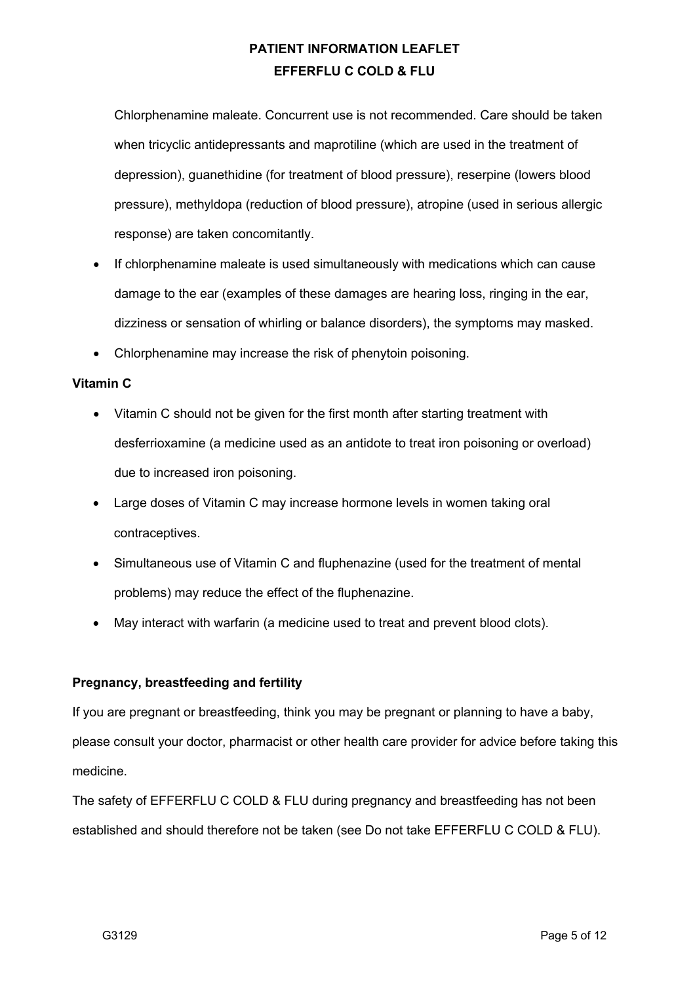Chlorphenamine maleate. Concurrent use is not recommended. Care should be taken when tricyclic antidepressants and maprotiline (which are used in the treatment of depression), guanethidine (for treatment of blood pressure), reserpine (lowers blood pressure), methyldopa (reduction of blood pressure), atropine (used in serious allergic response) are taken concomitantly.

- If chlorphenamine maleate is used simultaneously with medications which can cause damage to the ear (examples of these damages are hearing loss, ringing in the ear, dizziness or sensation of whirling or balance disorders), the symptoms may masked.
- Chlorphenamine may increase the risk of phenytoin poisoning.

### **Vitamin C**

- Vitamin C should not be given for the first month after starting treatment with desferrioxamine (a medicine used as an antidote to treat iron poisoning or overload) due to increased iron poisoning.
- Large doses of Vitamin C may increase hormone levels in women taking oral contraceptives.
- Simultaneous use of Vitamin C and fluphenazine (used for the treatment of mental problems) may reduce the effect of the fluphenazine.
- May interact with warfarin (a medicine used to treat and prevent blood clots).

### **Pregnancy, breastfeeding and fertility**

If you are pregnant or breastfeeding, think you may be pregnant or planning to have a baby, please consult your doctor, pharmacist or other health care provider for advice before taking this medicine.

The safety of EFFERFLU C COLD & FLU during pregnancy and breastfeeding has not been established and should therefore not be taken (see Do not take EFFERFLU C COLD & FLU).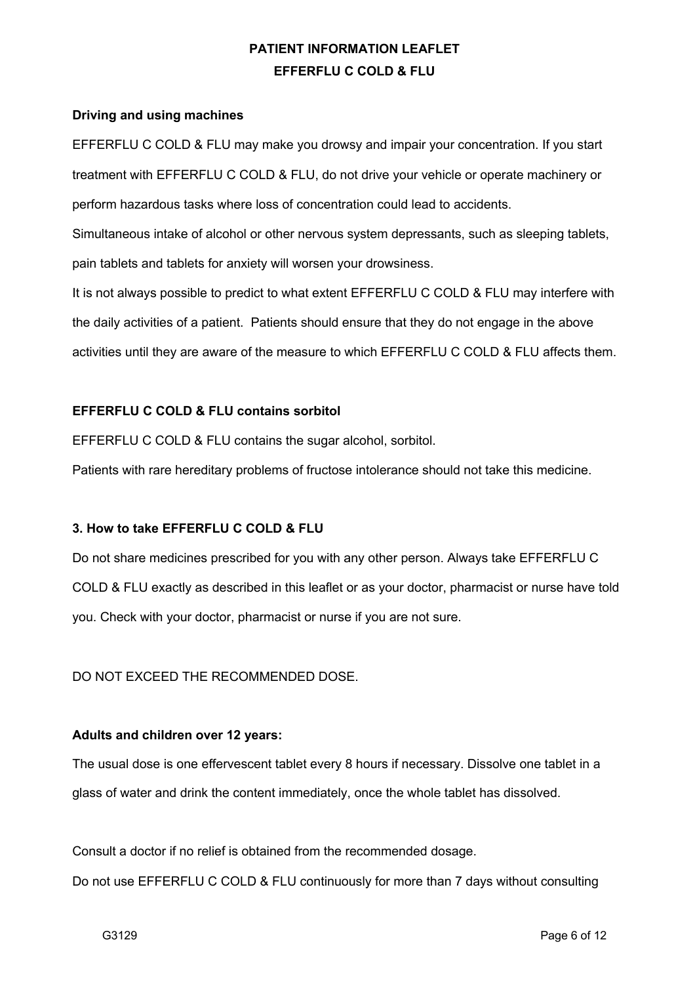#### **Driving and using machines**

EFFERFLU C COLD & FLU may make you drowsy and impair your concentration. If you start treatment with EFFERFLU C COLD & FLU, do not drive your vehicle or operate machinery or perform hazardous tasks where loss of concentration could lead to accidents.

Simultaneous intake of alcohol or other nervous system depressants, such as sleeping tablets, pain tablets and tablets for anxiety will worsen your drowsiness.

It is not always possible to predict to what extent EFFERFLU C COLD & FLU may interfere with the daily activities of a patient. Patients should ensure that they do not engage in the above activities until they are aware of the measure to which EFFERFLU C COLD & FLU affects them.

### **EFFERFLU C COLD & FLU contains sorbitol**

EFFERFLU C COLD & FLU contains the sugar alcohol, sorbitol.

Patients with rare hereditary problems of fructose intolerance should not take this medicine.

### **3. How to take EFFERFLU C COLD & FLU**

Do not share medicines prescribed for you with any other person. Always take EFFERFLU C COLD & FLU exactly as described in this leaflet or as your doctor, pharmacist or nurse have told you. Check with your doctor, pharmacist or nurse if you are not sure.

### DO NOT EXCEED THE RECOMMENDED DOSE.

#### **Adults and children over 12 years:**

The usual dose is one effervescent tablet every 8 hours if necessary. Dissolve one tablet in a glass of water and drink the content immediately, once the whole tablet has dissolved.

Consult a doctor if no relief is obtained from the recommended dosage.

Do not use EFFERFLU C COLD & FLU continuously for more than 7 days without consulting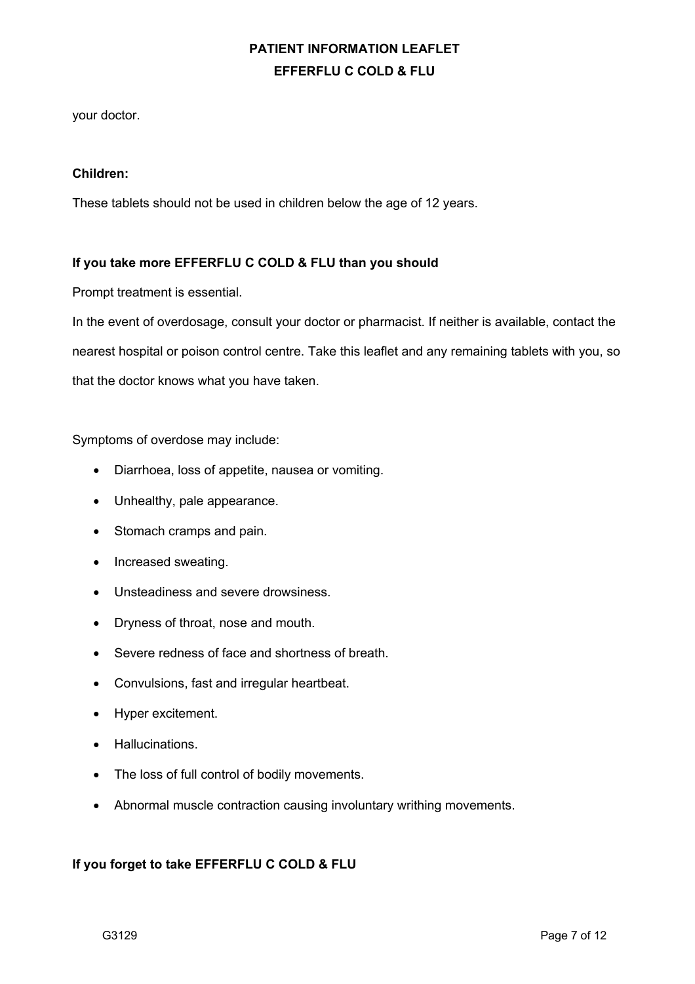your doctor.

#### **Children:**

These tablets should not be used in children below the age of 12 years.

### **If you take more EFFERFLU C COLD & FLU than you should**

Prompt treatment is essential.

In the event of overdosage, consult your doctor or pharmacist. If neither is available, contact the nearest hospital or poison control centre. Take this leaflet and any remaining tablets with you, so that the doctor knows what you have taken.

Symptoms of overdose may include:

- Diarrhoea, loss of appetite, nausea or vomiting.
- Unhealthy, pale appearance.
- Stomach cramps and pain.
- Increased sweating.
- Unsteadiness and severe drowsiness.
- Dryness of throat, nose and mouth.
- Severe redness of face and shortness of breath.
- Convulsions, fast and irregular heartbeat.
- Hyper excitement.
- Hallucinations.
- The loss of full control of bodily movements.
- Abnormal muscle contraction causing involuntary writhing movements.

### **If you forget to take EFFERFLU C COLD & FLU**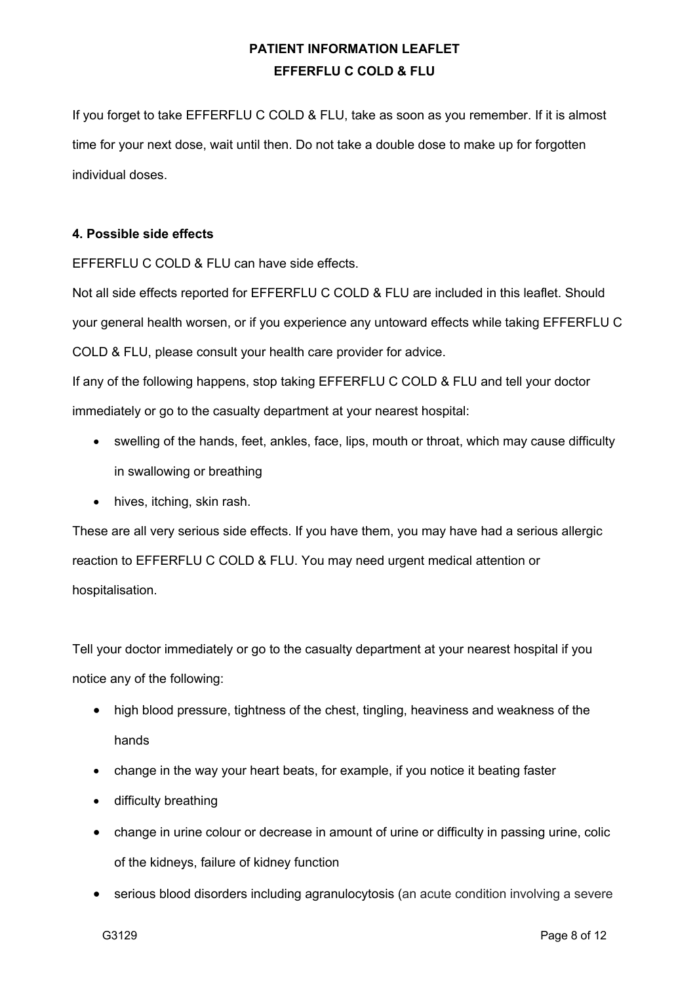If you forget to take EFFERFLU C COLD & FLU, take as soon as you remember. If it is almost time for your next dose, wait until then. Do not take a double dose to make up for forgotten individual doses.

### **4. Possible side effects**

EFFERFLU C COLD & FLU can have side effects.

Not all side effects reported for EFFERFLU C COLD & FLU are included in this leaflet. Should your general health worsen, or if you experience any untoward effects while taking EFFERFLU C COLD & FLU, please consult your health care provider for advice.

If any of the following happens, stop taking EFFERFLU C COLD & FLU and tell your doctor immediately or go to the casualty department at your nearest hospital:

- swelling of the hands, feet, ankles, face, lips, mouth or throat, which may cause difficulty in swallowing or breathing
- hives, itching, skin rash.

These are all very serious side effects. If you have them, you may have had a serious allergic reaction to EFFERFLU C COLD & FLU. You may need urgent medical attention or hospitalisation.

Tell your doctor immediately or go to the casualty department at your nearest hospital if you notice any of the following:

- high blood pressure, tightness of the chest, tingling, heaviness and weakness of the hands
- change in the way your heart beats, for example, if you notice it beating faster
- difficulty breathing
- change in urine colour or decrease in amount of urine or difficulty in passing urine, colic of the kidneys, failure of kidney function
- serious blood disorders including agranulocytosis (an acute condition involving a severe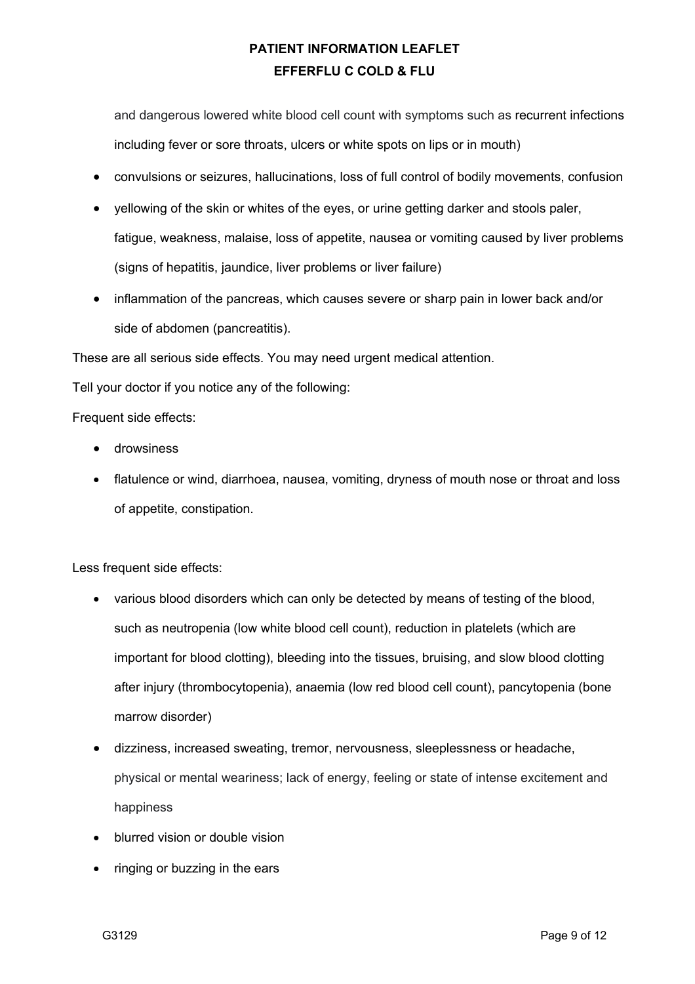and dangerous lowered white blood cell count with symptoms such as recurrent infections including fever or sore throats, ulcers or white spots on lips or in mouth)

- convulsions or seizures, hallucinations, loss of full control of bodily movements, confusion
- yellowing of the skin or whites of the eyes, or urine getting darker and stools paler, fatigue, weakness, malaise, loss of appetite, nausea or vomiting caused by liver problems (signs of hepatitis, jaundice, liver problems or liver failure)
- inflammation of the pancreas, which causes severe or sharp pain in lower back and/or side of abdomen (pancreatitis).

These are all serious side effects. You may need urgent medical attention.

Tell your doctor if you notice any of the following:

Frequent side effects:

- drowsiness
- flatulence or wind, diarrhoea, nausea, vomiting, dryness of mouth nose or throat and loss of appetite, constipation.

Less frequent side effects:

- various blood disorders which can only be detected by means of testing of the blood, such as neutropenia (low white blood cell count), reduction in platelets (which are important for blood clotting), bleeding into the tissues, bruising, and slow blood clotting after injury (thrombocytopenia), anaemia (low red blood cell count), pancytopenia (bone marrow disorder)
- dizziness, increased sweating, tremor, nervousness, sleeplessness or headache, physical or mental weariness; lack of energy, feeling or state of intense excitement and happiness
- blurred vision or double vision
- ringing or buzzing in the ears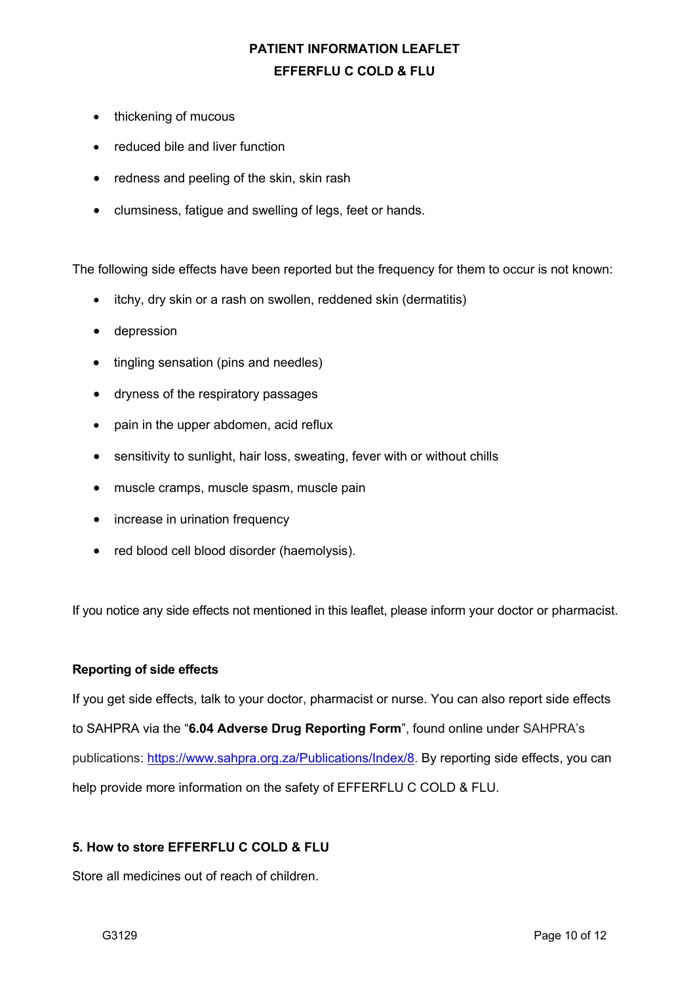- thickening of mucous
- reduced bile and liver function
- redness and peeling of the skin, skin rash
- clumsiness, fatigue and swelling of legs, feet or hands.

The following side effects have been reported but the frequency for them to occur is not known:

- itchy, dry skin or a rash on swollen, reddened skin (dermatitis)
- depression
- tingling sensation (pins and needles)
- dryness of the respiratory passages
- pain in the upper abdomen, acid reflux
- sensitivity to sunlight, hair loss, sweating, fever with or without chills
- muscle cramps, muscle spasm, muscle pain
- increase in urination frequency
- red blood cell blood disorder (haemolysis).

If you notice any side effects not mentioned in this leaflet, please inform your doctor or pharmacist.

### **Reporting of side effects**

If you get side effects, talk to your doctor, pharmacist or nurse. You can also report side effects to SAHPRA via the "**6.04 Adverse Drug Reporting Form**", found online under SAHPRA's publications: https://www.sahpra.org.za/Publications/Index/8. By reporting side effects, you can help provide more information on the safety of EFFERFLU C COLD & FLU.

## **5. How to store EFFERFLU C COLD & FLU**

Store all medicines out of reach of children.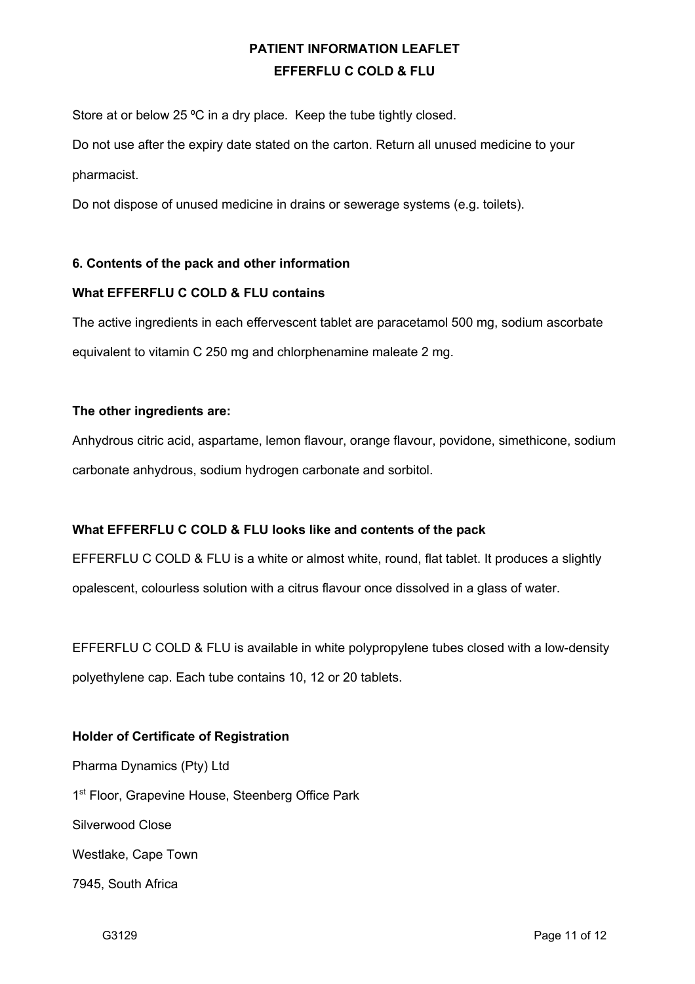Store at or below 25 °C in a dry place. Keep the tube tightly closed.

Do not use after the expiry date stated on the carton. Return all unused medicine to your pharmacist.

Do not dispose of unused medicine in drains or sewerage systems (e.g. toilets).

## **6. Contents of the pack and other information**

### **What EFFERFLU C COLD & FLU contains**

The active ingredients in each effervescent tablet are paracetamol 500 mg, sodium ascorbate equivalent to vitamin C 250 mg and chlorphenamine maleate 2 mg.

## **The other ingredients are:**

Anhydrous citric acid, aspartame, lemon flavour, orange flavour, povidone, simethicone, sodium carbonate anhydrous, sodium hydrogen carbonate and sorbitol.

## **What EFFERFLU C COLD & FLU looks like and contents of the pack**

EFFERFLU C COLD & FLU is a white or almost white, round, flat tablet. It produces a slightly opalescent, colourless solution with a citrus flavour once dissolved in a glass of water.

EFFERFLU C COLD & FLU is available in white polypropylene tubes closed with a low-density polyethylene cap. Each tube contains 10, 12 or 20 tablets.

## **Holder of Certificate of Registration**

Pharma Dynamics (Pty) Ltd 1<sup>st</sup> Floor, Grapevine House, Steenberg Office Park Silverwood Close Westlake, Cape Town 7945, South Africa